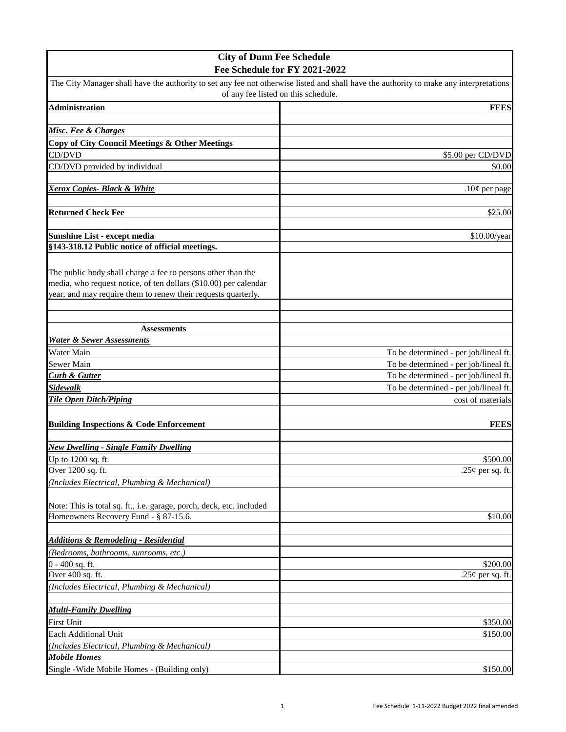| <b>City of Dunn Fee Schedule</b>                                     |                                                                                                                                        |
|----------------------------------------------------------------------|----------------------------------------------------------------------------------------------------------------------------------------|
|                                                                      | Fee Schedule for FY 2021-2022                                                                                                          |
| of any fee listed on this schedule.                                  | The City Manager shall have the authority to set any fee not otherwise listed and shall have the authority to make any interpretations |
| <b>Administration</b>                                                | <b>FEES</b>                                                                                                                            |
|                                                                      |                                                                                                                                        |
| Misc. Fee & Charges                                                  |                                                                                                                                        |
| <b>Copy of City Council Meetings &amp; Other Meetings</b>            |                                                                                                                                        |
| CD/DVD                                                               | \$5.00 per CD/DVD                                                                                                                      |
| CD/DVD provided by individual                                        | \$0.00                                                                                                                                 |
|                                                                      |                                                                                                                                        |
| <b>Xerox Copies- Black &amp; White</b>                               | $.10¢$ per page                                                                                                                        |
|                                                                      |                                                                                                                                        |
| <b>Returned Check Fee</b>                                            | \$25.00                                                                                                                                |
|                                                                      |                                                                                                                                        |
| Sunshine List - except media                                         | \$10.00/year                                                                                                                           |
| §143-318.12 Public notice of official meetings.                      |                                                                                                                                        |
|                                                                      |                                                                                                                                        |
| The public body shall charge a fee to persons other than the         |                                                                                                                                        |
| media, who request notice, of ten dollars (\$10.00) per calendar     |                                                                                                                                        |
| year, and may require them to renew their requests quarterly.        |                                                                                                                                        |
|                                                                      |                                                                                                                                        |
|                                                                      |                                                                                                                                        |
| <b>Assessments</b>                                                   |                                                                                                                                        |
| <b>Water &amp; Sewer Assessments</b>                                 |                                                                                                                                        |
| Water Main                                                           | To be determined - per job/lineal ft.                                                                                                  |
| <b>Sewer Main</b>                                                    | To be determined - per job/lineal ft.                                                                                                  |
| <b>Curb &amp; Gutter</b><br><b>Sidewalk</b>                          | To be determined - per job/lineal ft.                                                                                                  |
| <b>Tile Open Ditch/Piping</b>                                        | To be determined - per job/lineal ft.<br>cost of materials                                                                             |
|                                                                      |                                                                                                                                        |
| <b>Building Inspections &amp; Code Enforcement</b>                   | <b>FEES</b>                                                                                                                            |
|                                                                      |                                                                                                                                        |
| <b>New Dwelling - Single Family Dwelling</b>                         |                                                                                                                                        |
| Up to 1200 sq. ft.                                                   | \$500.00                                                                                                                               |
| Over 1200 sq. ft.                                                    | .25¢ per sq. ft.                                                                                                                       |
| (Includes Electrical, Plumbing & Mechanical)                         |                                                                                                                                        |
|                                                                      |                                                                                                                                        |
| Note: This is total sq. ft., i.e. garage, porch, deck, etc. included |                                                                                                                                        |
| Homeowners Recovery Fund - § 87-15.6.                                | \$10.00                                                                                                                                |
|                                                                      |                                                                                                                                        |
| <b>Additions &amp; Remodeling - Residential</b>                      |                                                                                                                                        |
| (Bedrooms, bathrooms, sunrooms, etc.)                                |                                                                                                                                        |
| $0 - 400$ sq. ft.                                                    | \$200.00                                                                                                                               |
| Over 400 sq. ft.                                                     | .25¢ per sq. ft.                                                                                                                       |
| (Includes Electrical, Plumbing & Mechanical)                         |                                                                                                                                        |
|                                                                      |                                                                                                                                        |
| <b>Multi-Family Dwelling</b>                                         |                                                                                                                                        |
| <b>First Unit</b>                                                    | \$350.00                                                                                                                               |
| Each Additional Unit                                                 | \$150.00                                                                                                                               |
| (Includes Electrical, Plumbing & Mechanical)                         |                                                                                                                                        |
| <b>Mobile Homes</b>                                                  |                                                                                                                                        |
| Single - Wide Mobile Homes - (Building only)                         | \$150.00                                                                                                                               |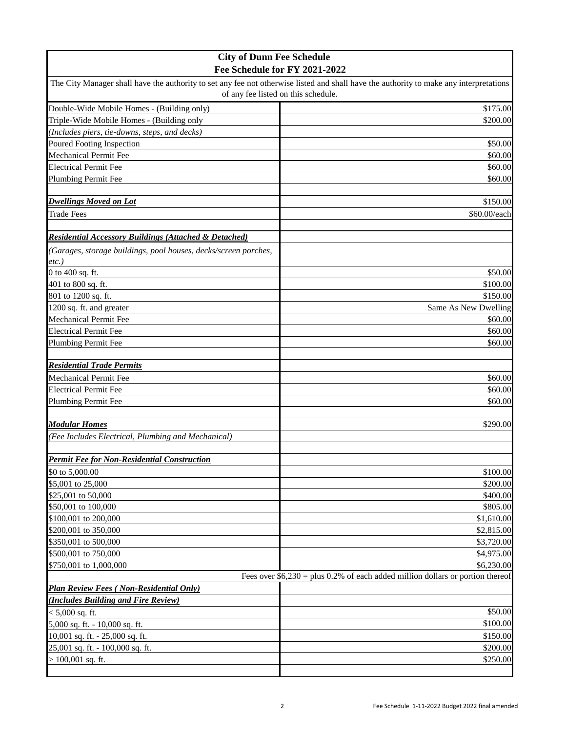| <b>City of Dunn Fee Schedule</b>                                 |                                                                                                                                        |
|------------------------------------------------------------------|----------------------------------------------------------------------------------------------------------------------------------------|
| Fee Schedule for FY 2021-2022                                    |                                                                                                                                        |
|                                                                  | The City Manager shall have the authority to set any fee not otherwise listed and shall have the authority to make any interpretations |
|                                                                  | of any fee listed on this schedule.                                                                                                    |
| Double-Wide Mobile Homes - (Building only)                       | \$175.00                                                                                                                               |
| Triple-Wide Mobile Homes - (Building only                        | \$200.00                                                                                                                               |
| (Includes piers, tie-downs, steps, and decks)                    |                                                                                                                                        |
| Poured Footing Inspection                                        | \$50.00                                                                                                                                |
| Mechanical Permit Fee                                            | \$60.00                                                                                                                                |
| <b>Electrical Permit Fee</b>                                     | \$60.00                                                                                                                                |
| Plumbing Permit Fee                                              | \$60.00                                                                                                                                |
|                                                                  |                                                                                                                                        |
| <b>Dwellings Moved on Lot</b>                                    | \$150.00                                                                                                                               |
| <b>Trade Fees</b>                                                | \$60.00/each                                                                                                                           |
|                                                                  |                                                                                                                                        |
| <b>Residential Accessory Buildings (Attached &amp; Detached)</b> |                                                                                                                                        |
| (Garages, storage buildings, pool houses, decks/screen porches,  |                                                                                                                                        |
| $etc.$ )                                                         |                                                                                                                                        |
| 0 to 400 sq. ft.                                                 | \$50.00                                                                                                                                |
| 401 to 800 sq. ft.                                               | \$100.00                                                                                                                               |
| 801 to 1200 sq. ft.                                              | \$150.00                                                                                                                               |
| 1200 sq. ft. and greater                                         | Same As New Dwelling                                                                                                                   |
| Mechanical Permit Fee                                            | \$60.00                                                                                                                                |
| <b>Electrical Permit Fee</b>                                     | \$60.00                                                                                                                                |
| <b>Plumbing Permit Fee</b>                                       | \$60.00                                                                                                                                |
|                                                                  |                                                                                                                                        |
| <b>Residential Trade Permits</b>                                 |                                                                                                                                        |
| Mechanical Permit Fee                                            | \$60.00                                                                                                                                |
| <b>Electrical Permit Fee</b>                                     | \$60.00                                                                                                                                |
| <b>Plumbing Permit Fee</b>                                       | \$60.00                                                                                                                                |
|                                                                  |                                                                                                                                        |
| <b>Modular Homes</b>                                             | \$290.00                                                                                                                               |
| (Fee Includes Electrical, Plumbing and Mechanical)               |                                                                                                                                        |
|                                                                  |                                                                                                                                        |
| <b>Permit Fee for Non-Residential Construction</b>               |                                                                                                                                        |
| \$0 to 5,000.00                                                  | \$100.00                                                                                                                               |
| \$5,001 to 25,000                                                | \$200.00                                                                                                                               |
| \$25,001 to 50,000                                               | \$400.00                                                                                                                               |
| \$50,001 to 100,000                                              | \$805.00                                                                                                                               |
| \$100,001 to 200,000                                             | \$1,610.00                                                                                                                             |
| \$200,001 to 350,000                                             | \$2,815.00                                                                                                                             |
| \$350,001 to 500,000                                             | \$3,720.00                                                                                                                             |
| \$500,001 to 750,000                                             | \$4,975.00                                                                                                                             |
| \$750,001 to 1,000,000                                           | \$6,230.00                                                                                                                             |
|                                                                  | Fees over $$6,230 = plus 0.2\%$ of each added million dollars or portion thereof                                                       |
| <b>Plan Review Fees (Non-Residential Only)</b>                   |                                                                                                                                        |
| (Includes Building and Fire Review)                              |                                                                                                                                        |
| $< 5,000$ sq. ft.                                                | \$50.00                                                                                                                                |
| 5,000 sq. ft. - 10,000 sq. ft.                                   | \$100.00                                                                                                                               |
| 10,001 sq. ft. - 25,000 sq. ft.                                  | \$150.00                                                                                                                               |
| 25,001 sq. ft. - 100,000 sq. ft.                                 | \$200.00                                                                                                                               |
| $> 100,001$ sq. ft.                                              | \$250.00                                                                                                                               |
|                                                                  |                                                                                                                                        |
|                                                                  |                                                                                                                                        |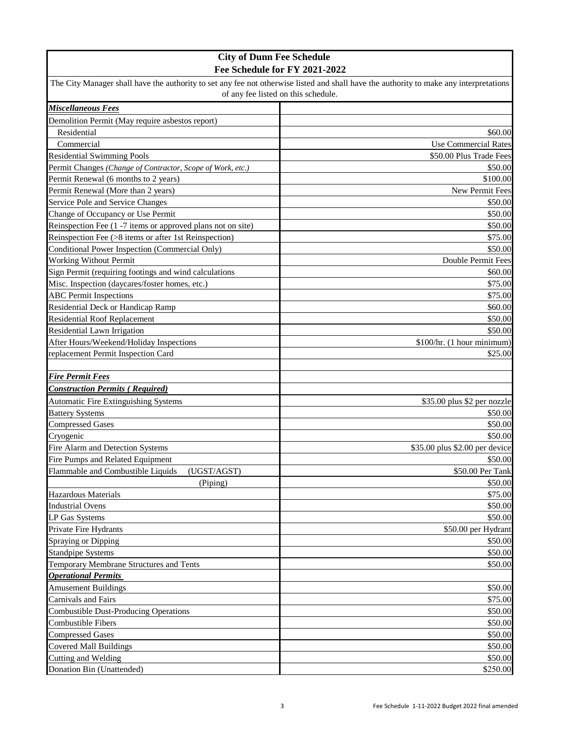| <b>City of Dunn Fee Schedule</b>                                                                                                                                              |                                |
|-------------------------------------------------------------------------------------------------------------------------------------------------------------------------------|--------------------------------|
|                                                                                                                                                                               | Fee Schedule for FY 2021-2022  |
| The City Manager shall have the authority to set any fee not otherwise listed and shall have the authority to make any interpretations<br>of any fee listed on this schedule. |                                |
| Miscellaneous Fees                                                                                                                                                            |                                |
| Demolition Permit (May require asbestos report)                                                                                                                               |                                |
| Residential                                                                                                                                                                   | \$60.00                        |
| Commercial                                                                                                                                                                    | <b>Use Commercial Rates</b>    |
| <b>Residential Swimming Pools</b>                                                                                                                                             | \$50.00 Plus Trade Fees        |
| Permit Changes (Change of Contractor, Scope of Work, etc.)                                                                                                                    | \$50.00                        |
| Permit Renewal (6 months to 2 years)                                                                                                                                          | \$100.00                       |
| Permit Renewal (More than 2 years)                                                                                                                                            | New Permit Fees                |
| Service Pole and Service Changes                                                                                                                                              | \$50.00                        |
| Change of Occupancy or Use Permit                                                                                                                                             | \$50.00                        |
| Reinspection Fee (1 -7 items or approved plans not on site)                                                                                                                   | \$50.00                        |
| Reinspection Fee (>8 items or after 1st Reinspection)                                                                                                                         | \$75.00                        |
| Conditional Power Inspection (Commercial Only)                                                                                                                                | \$50.00                        |
| Working Without Permit                                                                                                                                                        | Double Permit Fees             |
| Sign Permit (requiring footings and wind calculations                                                                                                                         | \$60.00                        |
| Misc. Inspection (daycares/foster homes, etc.)                                                                                                                                | \$75.00                        |
| <b>ABC</b> Permit Inspections                                                                                                                                                 | \$75.00                        |
| <b>Residential Deck or Handicap Ramp</b>                                                                                                                                      | \$60.00                        |
| <b>Residential Roof Replacement</b>                                                                                                                                           | \$50.00                        |
| Residential Lawn Irrigation                                                                                                                                                   | \$50.00                        |
| After Hours/Weekend/Holiday Inspections                                                                                                                                       | \$100/hr. (1 hour minimum)     |
| replacement Permit Inspection Card                                                                                                                                            | \$25.00                        |
|                                                                                                                                                                               |                                |
| <b>Fire Permit Fees</b>                                                                                                                                                       |                                |
| <b>Construction Permits (Required)</b>                                                                                                                                        |                                |
| <b>Automatic Fire Extinguishing Systems</b>                                                                                                                                   | \$35.00 plus \$2 per nozzle    |
| <b>Battery Systems</b>                                                                                                                                                        | \$50.00                        |
| <b>Compressed Gases</b>                                                                                                                                                       | \$50.00                        |
| Cryogenic                                                                                                                                                                     | \$50.00                        |
| Fire Alarm and Detection Systems                                                                                                                                              | \$35.00 plus \$2.00 per device |
| Fire Pumps and Related Equipment                                                                                                                                              | \$50.00                        |
| Flammable and Combustible Liquids<br>(UGST/AGST)                                                                                                                              | \$50.00 Per Tank               |
| (Piping)                                                                                                                                                                      | \$50.00                        |
| Hazardous Materials                                                                                                                                                           | \$75.00                        |
| <b>Industrial Ovens</b>                                                                                                                                                       | \$50.00                        |
| <b>LP Gas Systems</b>                                                                                                                                                         | \$50.00                        |
| Private Fire Hydrants                                                                                                                                                         | \$50.00 per Hydrant            |
| Spraying or Dipping                                                                                                                                                           | \$50.00                        |
| <b>Standpipe Systems</b>                                                                                                                                                      | \$50.00                        |
| Temporary Membrane Structures and Tents                                                                                                                                       | \$50.00                        |
| <b>Operational Permits</b>                                                                                                                                                    |                                |
| <b>Amusement Buildings</b>                                                                                                                                                    | \$50.00                        |
| Carnivals and Fairs                                                                                                                                                           | \$75.00                        |
| <b>Combustible Dust-Producing Operations</b>                                                                                                                                  | \$50.00                        |
| <b>Combustible Fibers</b>                                                                                                                                                     | \$50.00                        |
| <b>Compressed Gases</b>                                                                                                                                                       | \$50.00                        |
| <b>Covered Mall Buildings</b>                                                                                                                                                 | \$50.00                        |
| Cutting and Welding                                                                                                                                                           | \$50.00                        |
| Donation Bin (Unattended)                                                                                                                                                     | \$250.00                       |
|                                                                                                                                                                               |                                |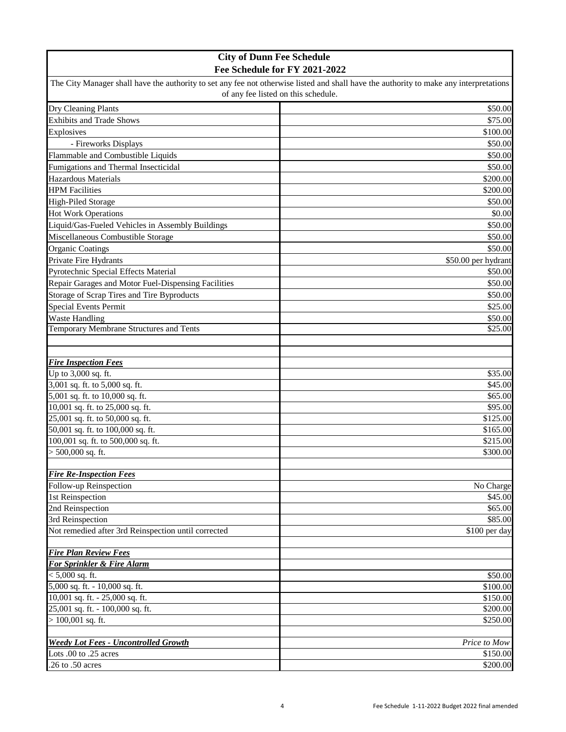| <b>City of Dunn Fee Schedule</b>                    |                                                                                                                                        |
|-----------------------------------------------------|----------------------------------------------------------------------------------------------------------------------------------------|
|                                                     | Fee Schedule for FY 2021-2022                                                                                                          |
|                                                     | The City Manager shall have the authority to set any fee not otherwise listed and shall have the authority to make any interpretations |
|                                                     | of any fee listed on this schedule.                                                                                                    |
| Dry Cleaning Plants                                 | \$50.00                                                                                                                                |
| <b>Exhibits and Trade Shows</b>                     | \$75.00                                                                                                                                |
| Explosives                                          | \$100.00                                                                                                                               |
| - Fireworks Displays                                | \$50.00                                                                                                                                |
| Flammable and Combustible Liquids                   | \$50.00                                                                                                                                |
| Fumigations and Thermal Insecticidal                | \$50.00                                                                                                                                |
| Hazardous Materials                                 | \$200.00                                                                                                                               |
| <b>HPM</b> Facilities                               | \$200.00                                                                                                                               |
| <b>High-Piled Storage</b>                           | \$50.00                                                                                                                                |
| <b>Hot Work Operations</b>                          | \$0.00                                                                                                                                 |
| Liquid/Gas-Fueled Vehicles in Assembly Buildings    | \$50.00                                                                                                                                |
| Miscellaneous Combustible Storage                   | \$50.00                                                                                                                                |
| <b>Organic Coatings</b>                             | \$50.00                                                                                                                                |
| Private Fire Hydrants                               |                                                                                                                                        |
|                                                     | \$50.00 per hydrant                                                                                                                    |
| Pyrotechnic Special Effects Material                | \$50.00                                                                                                                                |
| Repair Garages and Motor Fuel-Dispensing Facilities | \$50.00                                                                                                                                |
| Storage of Scrap Tires and Tire Byproducts          | \$50.00                                                                                                                                |
| <b>Special Events Permit</b>                        | \$25.00                                                                                                                                |
| <b>Waste Handling</b>                               | \$50.00                                                                                                                                |
| Temporary Membrane Structures and Tents             | \$25.00                                                                                                                                |
|                                                     |                                                                                                                                        |
|                                                     |                                                                                                                                        |
| <b>Fire Inspection Fees</b><br>Up to 3,000 sq. ft.  | \$35.00                                                                                                                                |
| 3,001 sq. ft. to 5,000 sq. ft.                      | \$45.00                                                                                                                                |
| 5,001 sq. ft. to 10,000 sq. ft.                     | \$65.00                                                                                                                                |
| 10,001 sq. ft. to 25,000 sq. ft.                    | \$95.00                                                                                                                                |
| 25,001 sq. ft. to 50,000 sq. ft.                    | \$125.00                                                                                                                               |
| 50,001 sq. ft. to 100,000 sq. ft.                   | \$165.00                                                                                                                               |
| 100,001 sq. ft. to 500,000 sq. ft.                  | \$215.00                                                                                                                               |
| $> 500,000$ sq. ft.                                 | \$300.00                                                                                                                               |
|                                                     |                                                                                                                                        |
| <b>Fire Re-Inspection Fees</b>                      |                                                                                                                                        |
| Follow-up Reinspection                              | No Charge                                                                                                                              |
| 1st Reinspection                                    | \$45.00                                                                                                                                |
| 2nd Reinspection                                    | \$65.00                                                                                                                                |
| 3rd Reinspection                                    | \$85.00                                                                                                                                |
| Not remedied after 3rd Reinspection until corrected | \$100 per day                                                                                                                          |
|                                                     |                                                                                                                                        |
| <b>Fire Plan Review Fees</b>                        |                                                                                                                                        |
| For Sprinkler & Fire Alarm                          |                                                                                                                                        |
| $< 5,000$ sq. ft.                                   | \$50.00                                                                                                                                |
| 5,000 sq. ft. - 10,000 sq. ft.                      | \$100.00                                                                                                                               |
| 10,001 sq. ft. - 25,000 sq. ft.                     | \$150.00                                                                                                                               |
| 25,001 sq. ft. - 100,000 sq. ft.                    | \$200.00                                                                                                                               |
| $> 100,001$ sq. ft.                                 | \$250.00                                                                                                                               |
|                                                     |                                                                                                                                        |
| <b>Weedy Lot Fees - Uncontrolled Growth</b>         | Price to Mow                                                                                                                           |
| Lots .00 to .25 acres                               | \$150.00                                                                                                                               |
| .26 to .50 acres                                    | \$200.00                                                                                                                               |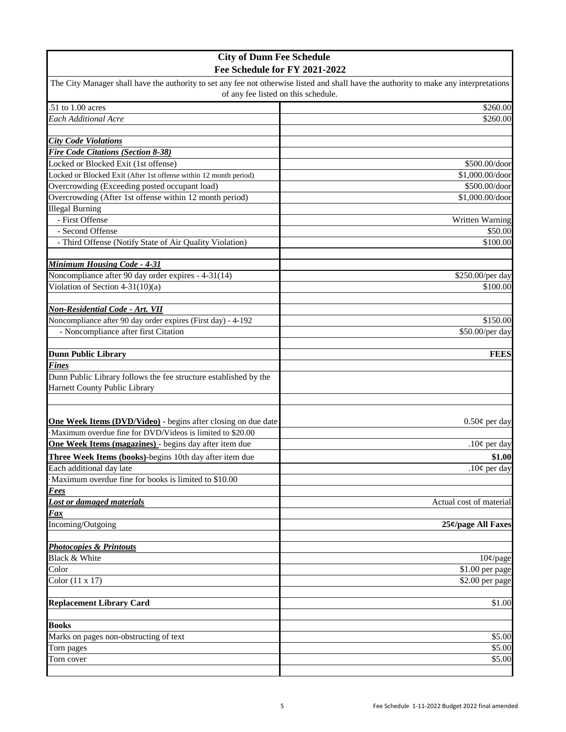| <b>City of Dunn Fee Schedule</b>                                     |                                                                                                                                        |
|----------------------------------------------------------------------|----------------------------------------------------------------------------------------------------------------------------------------|
| Fee Schedule for FY 2021-2022                                        |                                                                                                                                        |
|                                                                      | The City Manager shall have the authority to set any fee not otherwise listed and shall have the authority to make any interpretations |
| of any fee listed on this schedule.                                  |                                                                                                                                        |
| $.51$ to $1.00$ acres                                                | \$260.00                                                                                                                               |
| Each Additional Acre                                                 | \$260.00                                                                                                                               |
|                                                                      |                                                                                                                                        |
| <b>City Code Violations</b>                                          |                                                                                                                                        |
| <b>Fire Code Citations (Section 8-38)</b>                            |                                                                                                                                        |
| Locked or Blocked Exit (1st offense)                                 | \$500.00/door                                                                                                                          |
| Locked or Blocked Exit (After 1st offense within 12 month period)    | \$1,000.00/door                                                                                                                        |
| Overcrowding (Exceeding posted occupant load)                        | \$500.00/door                                                                                                                          |
| Overcrowding (After 1st offense within 12 month period)              | \$1,000.00/door                                                                                                                        |
| <b>Illegal Burning</b>                                               |                                                                                                                                        |
| - First Offense                                                      | Written Warning                                                                                                                        |
| - Second Offense                                                     | \$50.00                                                                                                                                |
| - Third Offense (Notify State of Air Quality Violation)              | \$100.00                                                                                                                               |
| <b>Minimum Housing Code - 4-31</b>                                   |                                                                                                                                        |
| Noncompliance after 90 day order expires - 4-31(14)                  | \$250.00/per day                                                                                                                       |
| Violation of Section $4-31(10)(a)$                                   | \$100.00                                                                                                                               |
|                                                                      |                                                                                                                                        |
| <b>Non-Residential Code - Art. VII</b>                               |                                                                                                                                        |
| Noncompliance after 90 day order expires (First day) - 4-192         | \$150.00                                                                                                                               |
| - Noncompliance after first Citation                                 | \$50.00/per day                                                                                                                        |
|                                                                      |                                                                                                                                        |
| <b>Dunn Public Library</b>                                           | <b>FEES</b>                                                                                                                            |
| <b>Fines</b>                                                         |                                                                                                                                        |
| Dunn Public Library follows the fee structure established by the     |                                                                                                                                        |
| Harnett County Public Library                                        |                                                                                                                                        |
|                                                                      |                                                                                                                                        |
|                                                                      |                                                                                                                                        |
| <b>One Week Items (DVD/Video)</b> - begins after closing on due date | $0.50¢$ per day                                                                                                                        |
| Maximum overdue fine for DVD/Videos is limited to \$20.00            |                                                                                                                                        |
| One Week Items (magazines) - begins day after item due               | .10 $\phi$ per day                                                                                                                     |
| Three Week Items (books)-begins 10th day after item due              | \$1.00                                                                                                                                 |
| Each additional day late                                             | .10 $\phi$ per day                                                                                                                     |
| Maximum overdue fine for books is limited to \$10.00                 |                                                                                                                                        |
| Fees<br><b>Lost or damaged materials</b>                             | Actual cost of material                                                                                                                |
| Fax                                                                  |                                                                                                                                        |
| Incoming/Outgoing                                                    | 25¢/page All Faxes                                                                                                                     |
|                                                                      |                                                                                                                                        |
| <b>Photocopies &amp; Printouts</b>                                   |                                                                                                                                        |
| Black & White                                                        | $10$ ¢/page                                                                                                                            |
| Color                                                                | \$1.00 per page                                                                                                                        |
| Color $(11 \times 17)$                                               | \$2.00 per page                                                                                                                        |
|                                                                      |                                                                                                                                        |
| <b>Replacement Library Card</b>                                      | \$1.00                                                                                                                                 |
|                                                                      |                                                                                                                                        |
| <b>Books</b>                                                         |                                                                                                                                        |
| Marks on pages non-obstructing of text                               | \$5.00                                                                                                                                 |
| Torn pages                                                           | \$5.00                                                                                                                                 |
| Torn cover                                                           | \$5.00                                                                                                                                 |
|                                                                      |                                                                                                                                        |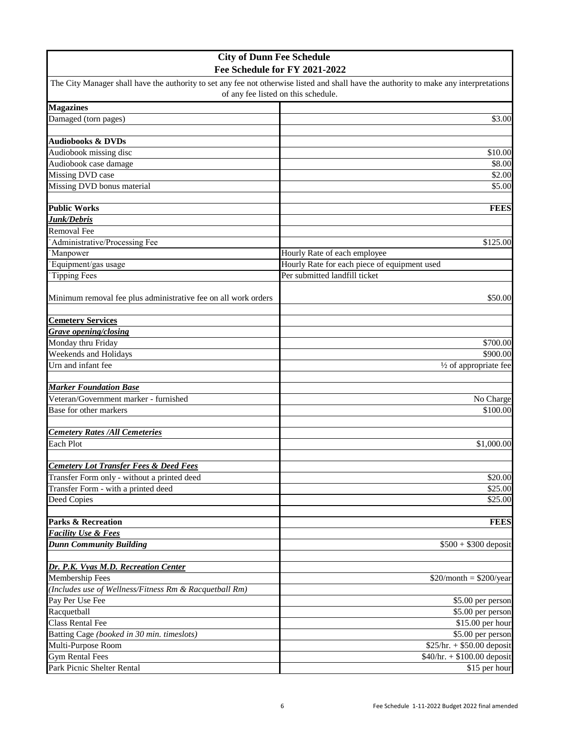| <b>City of Dunn Fee Schedule</b>                               |                                                                                                                                        |
|----------------------------------------------------------------|----------------------------------------------------------------------------------------------------------------------------------------|
|                                                                | Fee Schedule for FY 2021-2022                                                                                                          |
|                                                                | The City Manager shall have the authority to set any fee not otherwise listed and shall have the authority to make any interpretations |
|                                                                | of any fee listed on this schedule.                                                                                                    |
| <b>Magazines</b>                                               |                                                                                                                                        |
| Damaged (torn pages)                                           | \$3.00                                                                                                                                 |
|                                                                |                                                                                                                                        |
| <b>Audiobooks &amp; DVDs</b>                                   |                                                                                                                                        |
| Audiobook missing disc                                         | \$10.00                                                                                                                                |
| Audiobook case damage                                          | \$8.00                                                                                                                                 |
| Missing DVD case                                               | \$2.00                                                                                                                                 |
| Missing DVD bonus material                                     | \$5.00                                                                                                                                 |
|                                                                |                                                                                                                                        |
| <b>Public Works</b>                                            | <b>FEES</b>                                                                                                                            |
| Junk/Debris                                                    |                                                                                                                                        |
| <b>Removal Fee</b>                                             |                                                                                                                                        |
| Administrative/Processing Fee                                  | \$125.00                                                                                                                               |
| Manpower                                                       | Hourly Rate of each employee                                                                                                           |
| Equipment/gas usage                                            | Hourly Rate for each piece of equipment used                                                                                           |
| <b>Tipping Fees</b>                                            | Per submitted landfill ticket                                                                                                          |
|                                                                | \$50.00                                                                                                                                |
| Minimum removal fee plus administrative fee on all work orders |                                                                                                                                        |
| <b>Cemetery Services</b>                                       |                                                                                                                                        |
| <b>Grave opening/closing</b>                                   |                                                                                                                                        |
| Monday thru Friday                                             | \$700.00                                                                                                                               |
| Weekends and Holidays                                          | \$900.00                                                                                                                               |
| Urn and infant fee                                             | $\frac{1}{2}$ of appropriate fee                                                                                                       |
|                                                                |                                                                                                                                        |
| <b>Marker Foundation Base</b>                                  |                                                                                                                                        |
| Veteran/Government marker - furnished                          | No Charge                                                                                                                              |
| Base for other markers                                         | \$100.00                                                                                                                               |
|                                                                |                                                                                                                                        |
| <b>Cemetery Rates /All Cemeteries</b>                          |                                                                                                                                        |
| Each Plot                                                      | \$1,000.00                                                                                                                             |
|                                                                |                                                                                                                                        |
| <b>Cemetery Lot Transfer Fees &amp; Deed Fees</b>              |                                                                                                                                        |
| Transfer Form only - without a printed deed                    | \$20.00                                                                                                                                |
| Transfer Form - with a printed deed                            | \$25.00                                                                                                                                |
| Deed Copies                                                    | \$25.00                                                                                                                                |
|                                                                |                                                                                                                                        |
| <b>Parks &amp; Recreation</b>                                  | <b>FEES</b>                                                                                                                            |
| <b>Facility Use &amp; Fees</b>                                 |                                                                                                                                        |
| <b>Dunn Community Building</b>                                 | $$500 + $300$ deposit                                                                                                                  |
|                                                                |                                                                                                                                        |
| Dr. P.K. Vyas M.D. Recreation Center                           |                                                                                                                                        |
| Membership Fees                                                | $$20/month = $200/year$                                                                                                                |
| (Includes use of Wellness/Fitness Rm & Racquetball Rm)         |                                                                                                                                        |
| Pay Per Use Fee                                                | \$5.00 per person                                                                                                                      |
| Racquetball                                                    | \$5.00 per person                                                                                                                      |
| <b>Class Rental Fee</b>                                        | \$15.00 per hour                                                                                                                       |
| Batting Cage (booked in 30 min. timeslots)                     | \$5.00 per person                                                                                                                      |
| Multi-Purpose Room                                             | $$25/hr. + $50.00$ deposit                                                                                                             |
| <b>Gym Rental Fees</b>                                         | $$40/hr. + $100.00$ deposit                                                                                                            |
| Park Picnic Shelter Rental                                     | \$15 per hour                                                                                                                          |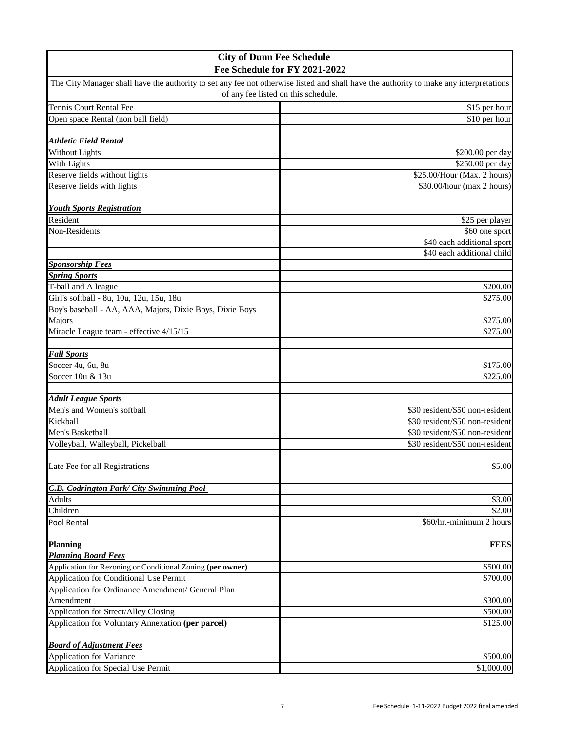| <b>City of Dunn Fee Schedule</b>                               |                                                                                                                                        |
|----------------------------------------------------------------|----------------------------------------------------------------------------------------------------------------------------------------|
|                                                                | Fee Schedule for FY 2021-2022                                                                                                          |
|                                                                | The City Manager shall have the authority to set any fee not otherwise listed and shall have the authority to make any interpretations |
|                                                                | of any fee listed on this schedule.                                                                                                    |
| Tennis Court Rental Fee                                        | \$15 per hour                                                                                                                          |
| Open space Rental (non ball field)                             | \$10 per hour                                                                                                                          |
|                                                                |                                                                                                                                        |
| <b>Athletic Field Rental</b>                                   |                                                                                                                                        |
| Without Lights                                                 | \$200.00 per day                                                                                                                       |
| With Lights                                                    | \$250.00 per day                                                                                                                       |
| Reserve fields without lights                                  | \$25.00/Hour (Max. 2 hours)                                                                                                            |
| Reserve fields with lights                                     | \$30.00/hour (max 2 hours)                                                                                                             |
|                                                                |                                                                                                                                        |
| <b>Youth Sports Registration</b>                               |                                                                                                                                        |
| Resident                                                       | \$25 per player                                                                                                                        |
| Non-Residents                                                  | \$60 one sport                                                                                                                         |
|                                                                | \$40 each additional sport                                                                                                             |
|                                                                | \$40 each additional child                                                                                                             |
| <b>Sponsorship Fees</b>                                        |                                                                                                                                        |
| <b>Spring Sports</b>                                           |                                                                                                                                        |
| T-ball and A league                                            | \$200.00                                                                                                                               |
| Girl's softball - 8u, 10u, 12u, 15u, 18u                       | \$275.00                                                                                                                               |
| Boy's baseball - AA, AAA, Majors, Dixie Boys, Dixie Boys       |                                                                                                                                        |
| Majors                                                         | \$275.00                                                                                                                               |
| Miracle League team - effective 4/15/15                        | \$275.00                                                                                                                               |
|                                                                |                                                                                                                                        |
| <b>Fall Sports</b>                                             |                                                                                                                                        |
| Soccer 4u, 6u, 8u                                              | \$175.00                                                                                                                               |
| Soccer 10u & 13u                                               | \$225.00                                                                                                                               |
|                                                                |                                                                                                                                        |
| <b>Adult League Sports</b>                                     |                                                                                                                                        |
| Men's and Women's softball                                     | \$30 resident/\$50 non-resident                                                                                                        |
| Kickball                                                       | \$30 resident/\$50 non-resident                                                                                                        |
| Men's Basketball                                               | \$30 resident/\$50 non-resident                                                                                                        |
| Volleyball, Walleyball, Pickelball                             | \$30 resident/\$50 non-resident                                                                                                        |
|                                                                |                                                                                                                                        |
| Late Fee for all Registrations                                 | \$5.00                                                                                                                                 |
|                                                                |                                                                                                                                        |
| <b>C.B. Codrington Park/ City Swimming Pool</b>                |                                                                                                                                        |
| <b>Adults</b>                                                  | \$3.00                                                                                                                                 |
| Children                                                       | \$2.00                                                                                                                                 |
| <b>Pool Rental</b>                                             | \$60/hr.-minimum 2 hours                                                                                                               |
|                                                                | <b>FEES</b>                                                                                                                            |
| <b>Planning</b><br><b>Planning Board Fees</b>                  |                                                                                                                                        |
|                                                                |                                                                                                                                        |
| Application for Rezoning or Conditional Zoning (per owner)     | \$500.00                                                                                                                               |
| Application for Conditional Use Permit                         | \$700.00                                                                                                                               |
| Application for Ordinance Amendment/ General Plan<br>Amendment | \$300.00                                                                                                                               |
| Application for Street/Alley Closing                           | \$500.00                                                                                                                               |
| Application for Voluntary Annexation (per parcel)              | \$125.00                                                                                                                               |
|                                                                |                                                                                                                                        |
| <b>Board of Adjustment Fees</b>                                |                                                                                                                                        |
| <b>Application for Variance</b>                                | \$500.00                                                                                                                               |
| Application for Special Use Permit                             | \$1,000.00                                                                                                                             |
|                                                                |                                                                                                                                        |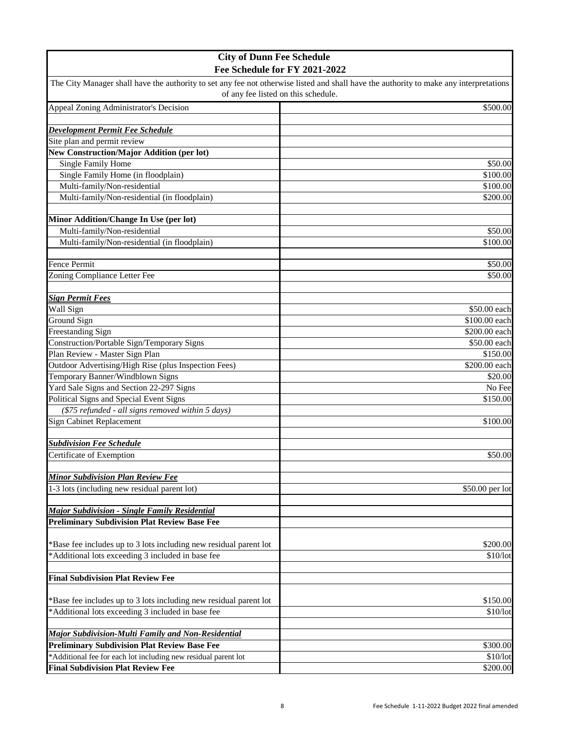| <b>City of Dunn Fee Schedule</b>                                  |                                                                                                                                                                               |
|-------------------------------------------------------------------|-------------------------------------------------------------------------------------------------------------------------------------------------------------------------------|
| Fee Schedule for FY 2021-2022                                     |                                                                                                                                                                               |
|                                                                   | The City Manager shall have the authority to set any fee not otherwise listed and shall have the authority to make any interpretations<br>of any fee listed on this schedule. |
| Appeal Zoning Administrator's Decision                            | \$500.00                                                                                                                                                                      |
|                                                                   |                                                                                                                                                                               |
| Development Permit Fee Schedule                                   |                                                                                                                                                                               |
| Site plan and permit review                                       |                                                                                                                                                                               |
| <b>New Construction/Major Addition (per lot)</b>                  |                                                                                                                                                                               |
| <b>Single Family Home</b>                                         | \$50.00                                                                                                                                                                       |
| Single Family Home (in floodplain)                                | \$100.00                                                                                                                                                                      |
| Multi-family/Non-residential                                      | \$100.00                                                                                                                                                                      |
| Multi-family/Non-residential (in floodplain)                      | \$200.00                                                                                                                                                                      |
| Minor Addition/Change In Use (per lot)                            |                                                                                                                                                                               |
| Multi-family/Non-residential                                      | \$50.00                                                                                                                                                                       |
| Multi-family/Non-residential (in floodplain)                      | \$100.00                                                                                                                                                                      |
|                                                                   |                                                                                                                                                                               |
| Fence Permit                                                      | \$50.00                                                                                                                                                                       |
| Zoning Compliance Letter Fee                                      | \$50.00                                                                                                                                                                       |
| <b>Sign Permit Fees</b>                                           |                                                                                                                                                                               |
| Wall Sign                                                         | \$50.00 each                                                                                                                                                                  |
| Ground Sign                                                       | \$100.00 each                                                                                                                                                                 |
| Freestanding Sign                                                 | \$200.00 each                                                                                                                                                                 |
| Construction/Portable Sign/Temporary Signs                        | \$50.00 each                                                                                                                                                                  |
| Plan Review - Master Sign Plan                                    | \$150.00                                                                                                                                                                      |
| Outdoor Advertising/High Rise (plus Inspection Fees)              | \$200.00 each                                                                                                                                                                 |
| Temporary Banner/Windblown Signs                                  | \$20.00                                                                                                                                                                       |
| Yard Sale Signs and Section 22-297 Signs                          | No Fee                                                                                                                                                                        |
| Political Signs and Special Event Signs                           | \$150.00                                                                                                                                                                      |
| (\$75 refunded - all signs removed within 5 days)                 |                                                                                                                                                                               |
| <b>Sign Cabinet Replacement</b>                                   | \$100.00                                                                                                                                                                      |
| <b>Subdivision Fee Schedule</b>                                   |                                                                                                                                                                               |
| Certificate of Exemption                                          | \$50.00                                                                                                                                                                       |
|                                                                   |                                                                                                                                                                               |
| <b>Minor Subdivision Plan Review Fee</b>                          |                                                                                                                                                                               |
| 1-3 lots (including new residual parent lot)                      | \$50.00 per lot                                                                                                                                                               |
| <b>Major Subdivision - Single Family Residential</b>              |                                                                                                                                                                               |
| <b>Preliminary Subdivision Plat Review Base Fee</b>               |                                                                                                                                                                               |
|                                                                   |                                                                                                                                                                               |
| *Base fee includes up to 3 lots including new residual parent lot | \$200.00                                                                                                                                                                      |
| *Additional lots exceeding 3 included in base fee                 | \$10/lot                                                                                                                                                                      |
| <b>Final Subdivision Plat Review Fee</b>                          |                                                                                                                                                                               |
|                                                                   |                                                                                                                                                                               |
| *Base fee includes up to 3 lots including new residual parent lot | \$150.00                                                                                                                                                                      |
| *Additional lots exceeding 3 included in base fee                 | \$10/lot                                                                                                                                                                      |
|                                                                   |                                                                                                                                                                               |
| Major Subdivision-Multi Family and Non-Residential                |                                                                                                                                                                               |
| <b>Preliminary Subdivision Plat Review Base Fee</b>               | \$300.00                                                                                                                                                                      |
| *Additional fee for each lot including new residual parent lot    | \$10/lot                                                                                                                                                                      |
| <b>Final Subdivision Plat Review Fee</b>                          | \$200.00                                                                                                                                                                      |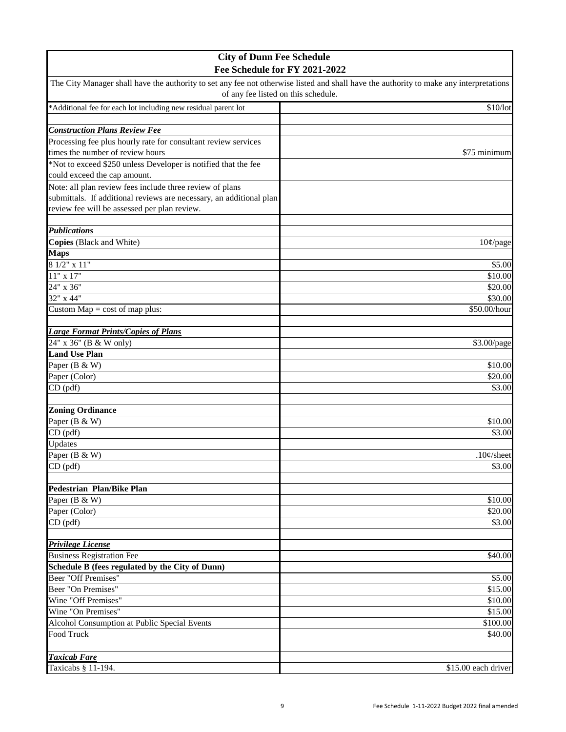| <b>City of Dunn Fee Schedule</b>                                                                                                                                                                               |                     |
|----------------------------------------------------------------------------------------------------------------------------------------------------------------------------------------------------------------|---------------------|
| Fee Schedule for FY 2021-2022<br>The City Manager shall have the authority to set any fee not otherwise listed and shall have the authority to make any interpretations<br>of any fee listed on this schedule. |                     |
|                                                                                                                                                                                                                |                     |
|                                                                                                                                                                                                                |                     |
| <b>Construction Plans Review Fee</b>                                                                                                                                                                           |                     |
| Processing fee plus hourly rate for consultant review services                                                                                                                                                 |                     |
| times the number of review hours                                                                                                                                                                               | \$75 minimum        |
| *Not to exceed \$250 unless Developer is notified that the fee                                                                                                                                                 |                     |
| could exceed the cap amount.                                                                                                                                                                                   |                     |
| Note: all plan review fees include three review of plans                                                                                                                                                       |                     |
| submittals. If additional reviews are necessary, an additional plan                                                                                                                                            |                     |
| review fee will be assessed per plan review.                                                                                                                                                                   |                     |
|                                                                                                                                                                                                                |                     |
| <b>Publications</b>                                                                                                                                                                                            |                     |
| Copies (Black and White)                                                                                                                                                                                       | $10¢$ /page         |
| <b>Maps</b>                                                                                                                                                                                                    |                     |
| 8 1/2" x 11"                                                                                                                                                                                                   | \$5.00              |
| $11" \ge 17"$                                                                                                                                                                                                  | \$10.00             |
| 24" x 36"                                                                                                                                                                                                      | \$20.00             |
| $32''$ x 44"                                                                                                                                                                                                   | \$30.00             |
| Custom $Map = cost of map plus:$                                                                                                                                                                               | \$50.00/hour        |
|                                                                                                                                                                                                                |                     |
| <b>Large Format Prints/Copies of Plans</b>                                                                                                                                                                     |                     |
| 24" x 36" (B & W only)                                                                                                                                                                                         | \$3.00/page         |
| <b>Land Use Plan</b>                                                                                                                                                                                           |                     |
| Paper (B & W)                                                                                                                                                                                                  | \$10.00             |
| Paper (Color)                                                                                                                                                                                                  | \$20.00             |
| CD (pdf)                                                                                                                                                                                                       | \$3.00              |
|                                                                                                                                                                                                                |                     |
| <b>Zoning Ordinance</b>                                                                                                                                                                                        |                     |
| Paper (B & W)                                                                                                                                                                                                  | \$10.00             |
| $CD$ (pdf)                                                                                                                                                                                                     | \$3.00              |
| Updates                                                                                                                                                                                                        |                     |
| Paper (B & W)                                                                                                                                                                                                  | $.10¢$ /sheet       |
| CD (pdf)                                                                                                                                                                                                       | \$3.00              |
|                                                                                                                                                                                                                |                     |
| <b>Pedestrian Plan/Bike Plan</b>                                                                                                                                                                               |                     |
| Paper (B & W)                                                                                                                                                                                                  | \$10.00             |
| Paper (Color)<br>$CD$ $(pdf)$                                                                                                                                                                                  | \$20.00             |
|                                                                                                                                                                                                                | \$3.00              |
| <b>Privilege License</b>                                                                                                                                                                                       |                     |
| <b>Business Registration Fee</b>                                                                                                                                                                               | \$40.00             |
| Schedule B (fees regulated by the City of Dunn)                                                                                                                                                                |                     |
| Beer "Off Premises"                                                                                                                                                                                            | \$5.00              |
| Beer "On Premises"                                                                                                                                                                                             | \$15.00             |
| Wine "Off Premises"                                                                                                                                                                                            | \$10.00             |
| Wine "On Premises"                                                                                                                                                                                             | \$15.00             |
| Alcohol Consumption at Public Special Events                                                                                                                                                                   | \$100.00            |
| Food Truck                                                                                                                                                                                                     | \$40.00             |
|                                                                                                                                                                                                                |                     |
| <b>Taxicab Fare</b>                                                                                                                                                                                            |                     |
| Taxicabs § 11-194.                                                                                                                                                                                             | \$15.00 each driver |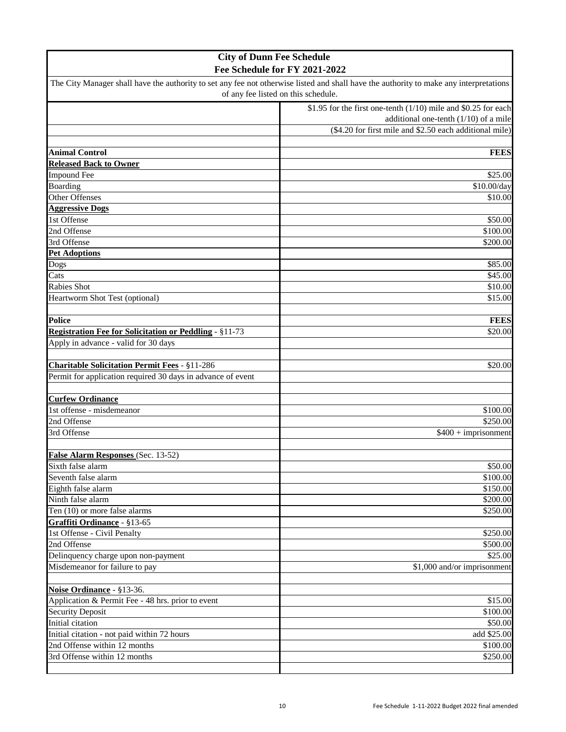| <b>City of Dunn Fee Schedule</b>                                                                                                                                                                               |                                                         |
|----------------------------------------------------------------------------------------------------------------------------------------------------------------------------------------------------------------|---------------------------------------------------------|
| Fee Schedule for FY 2021-2022<br>The City Manager shall have the authority to set any fee not otherwise listed and shall have the authority to make any interpretations<br>of any fee listed on this schedule. |                                                         |
|                                                                                                                                                                                                                |                                                         |
|                                                                                                                                                                                                                | additional one-tenth $(1/10)$ of a mile                 |
|                                                                                                                                                                                                                | (\$4.20 for first mile and \$2.50 each additional mile) |
|                                                                                                                                                                                                                |                                                         |
| <b>Animal Control</b>                                                                                                                                                                                          | <b>FEES</b>                                             |
| <b>Released Back to Owner</b>                                                                                                                                                                                  |                                                         |
| <b>Impound Fee</b>                                                                                                                                                                                             | \$25.00                                                 |
| Boarding                                                                                                                                                                                                       | \$10.00/day                                             |
| Other Offenses                                                                                                                                                                                                 | \$10.00                                                 |
| <b>Aggressive Dogs</b>                                                                                                                                                                                         |                                                         |
| 1st Offense                                                                                                                                                                                                    | \$50.00                                                 |
| 2nd Offense                                                                                                                                                                                                    | \$100.00                                                |
| 3rd Offense                                                                                                                                                                                                    | \$200.00                                                |
| <b>Pet Adoptions</b>                                                                                                                                                                                           |                                                         |
| Dogs                                                                                                                                                                                                           | \$85.00                                                 |
| Cats                                                                                                                                                                                                           | \$45.00                                                 |
| Rabies Shot                                                                                                                                                                                                    | \$10.00                                                 |
| Heartworm Shot Test (optional)                                                                                                                                                                                 | \$15.00                                                 |
|                                                                                                                                                                                                                |                                                         |
| <b>Police</b>                                                                                                                                                                                                  | <b>FEES</b>                                             |
| <b>Registration Fee for Solicitation or Peddling - §11-73</b>                                                                                                                                                  | \$20.00                                                 |
| Apply in advance - valid for 30 days                                                                                                                                                                           |                                                         |
|                                                                                                                                                                                                                |                                                         |
| Charitable Solicitation Permit Fees - §11-286                                                                                                                                                                  | \$20.00                                                 |
| Permit for application required 30 days in advance of event                                                                                                                                                    |                                                         |
|                                                                                                                                                                                                                |                                                         |
| <b>Curfew Ordinance</b>                                                                                                                                                                                        |                                                         |
| 1st offense - misdemeanor                                                                                                                                                                                      | \$100.00                                                |
| 2nd Offense                                                                                                                                                                                                    | \$250.00                                                |
| 3rd Offense                                                                                                                                                                                                    | $$400 + imprisonment$                                   |
|                                                                                                                                                                                                                |                                                         |
| False Alarm Responses (Sec. 13-52)                                                                                                                                                                             |                                                         |
| Sixth false alarm                                                                                                                                                                                              | \$50.00                                                 |
| Seventh false alarm                                                                                                                                                                                            | \$100.00                                                |
| Eighth false alarm                                                                                                                                                                                             | \$150.00                                                |
| Ninth false alarm                                                                                                                                                                                              | \$200.00                                                |
| Ten (10) or more false alarms                                                                                                                                                                                  | \$250.00                                                |
| Graffiti Ordinance - §13-65                                                                                                                                                                                    |                                                         |
| 1st Offense - Civil Penalty                                                                                                                                                                                    | \$250.00                                                |
| 2nd Offense                                                                                                                                                                                                    | \$500.00                                                |
| Delinquency charge upon non-payment                                                                                                                                                                            | \$25.00                                                 |
| Misdemeanor for failure to pay                                                                                                                                                                                 | \$1,000 and/or imprisonment                             |
|                                                                                                                                                                                                                |                                                         |
| Noise Ordinance - §13-36.                                                                                                                                                                                      |                                                         |
| Application & Permit Fee - 48 hrs. prior to event                                                                                                                                                              | \$15.00                                                 |
| <b>Security Deposit</b>                                                                                                                                                                                        | \$100.00                                                |
| Initial citation                                                                                                                                                                                               | \$50.00                                                 |
| Initial citation - not paid within 72 hours                                                                                                                                                                    | add \$25.00                                             |
| 2nd Offense within 12 months                                                                                                                                                                                   | \$100.00                                                |
| 3rd Offense within 12 months                                                                                                                                                                                   | \$250.00                                                |
|                                                                                                                                                                                                                |                                                         |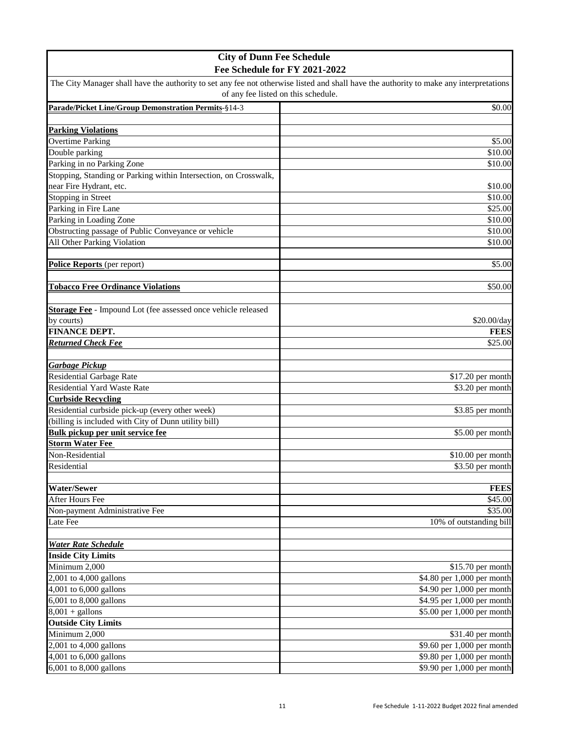| <b>City of Dunn Fee Schedule</b>                                 |                                                                                                                                        |
|------------------------------------------------------------------|----------------------------------------------------------------------------------------------------------------------------------------|
| Fee Schedule for FY 2021-2022                                    |                                                                                                                                        |
|                                                                  | The City Manager shall have the authority to set any fee not otherwise listed and shall have the authority to make any interpretations |
|                                                                  | of any fee listed on this schedule.                                                                                                    |
| Parade/Picket Line/Group Demonstration Permits-§14-3             | \$0.00                                                                                                                                 |
|                                                                  |                                                                                                                                        |
| <b>Parking Violations</b>                                        |                                                                                                                                        |
| <b>Overtime Parking</b>                                          | \$5.00                                                                                                                                 |
| Double parking                                                   | \$10.00                                                                                                                                |
| Parking in no Parking Zone                                       | \$10.00                                                                                                                                |
| Stopping, Standing or Parking within Intersection, on Crosswalk, |                                                                                                                                        |
| near Fire Hydrant, etc.                                          | \$10.00                                                                                                                                |
| Stopping in Street                                               | \$10.00                                                                                                                                |
| Parking in Fire Lane                                             | \$25.00                                                                                                                                |
| Parking in Loading Zone                                          | \$10.00                                                                                                                                |
| Obstructing passage of Public Conveyance or vehicle              | \$10.00                                                                                                                                |
| All Other Parking Violation                                      | \$10.00                                                                                                                                |
|                                                                  |                                                                                                                                        |
| Police Reports (per report)                                      | \$5.00                                                                                                                                 |
|                                                                  |                                                                                                                                        |
| <b>Tobacco Free Ordinance Violations</b>                         | \$50.00                                                                                                                                |
|                                                                  |                                                                                                                                        |
| Storage Fee - Impound Lot (fee assessed once vehicle released    |                                                                                                                                        |
| by courts)                                                       | \$20.00/day                                                                                                                            |
| <b>FINANCE DEPT.</b>                                             | <b>FEES</b>                                                                                                                            |
| <b>Returned Check Fee</b>                                        | \$25.00                                                                                                                                |
|                                                                  |                                                                                                                                        |
| <b>Garbage Pickup</b><br><b>Residential Garbage Rate</b>         | \$17.20 per month                                                                                                                      |
| <b>Residential Yard Waste Rate</b>                               | \$3.20 per month                                                                                                                       |
| <b>Curbside Recycling</b>                                        |                                                                                                                                        |
| Residential curbside pick-up (every other week)                  | \$3.85 per month                                                                                                                       |
| (billing is included with City of Dunn utility bill)             |                                                                                                                                        |
| <b>Bulk pickup per unit service fee</b>                          | \$5.00 per month                                                                                                                       |
| <b>Storm Water Fee</b>                                           |                                                                                                                                        |
| Non-Residential                                                  | $$10.00$ per month                                                                                                                     |
| Residential                                                      | \$3.50 per month                                                                                                                       |
|                                                                  |                                                                                                                                        |
| <b>Water/Sewer</b>                                               | <b>FEES</b>                                                                                                                            |
| After Hours Fee                                                  | \$45.00                                                                                                                                |
| Non-payment Administrative Fee                                   | \$35.00                                                                                                                                |
| Late Fee                                                         | 10% of outstanding bill                                                                                                                |
|                                                                  |                                                                                                                                        |
| <b>Water Rate Schedule</b>                                       |                                                                                                                                        |
| <b>Inside City Limits</b>                                        |                                                                                                                                        |
| Minimum 2,000                                                    | \$15.70 per month                                                                                                                      |
| 2,001 to 4,000 gallons                                           | \$4.80 per 1,000 per month                                                                                                             |
| 4,001 to 6,000 gallons                                           | \$4.90 per 1,000 per month                                                                                                             |
| 6,001 to 8,000 gallons                                           | \$4.95 per 1,000 per month                                                                                                             |
| $8,001 +$ gallons                                                | \$5.00 per 1,000 per month                                                                                                             |
| <b>Outside City Limits</b>                                       |                                                                                                                                        |
| Minimum 2,000                                                    | \$31.40 per month                                                                                                                      |
| $2,001$ to $4,000$ gallons                                       | \$9.60 per 1,000 per month                                                                                                             |
| 4,001 to 6,000 gallons                                           | \$9.80 per 1,000 per month                                                                                                             |
| 6,001 to 8,000 gallons                                           | \$9.90 per 1,000 per month                                                                                                             |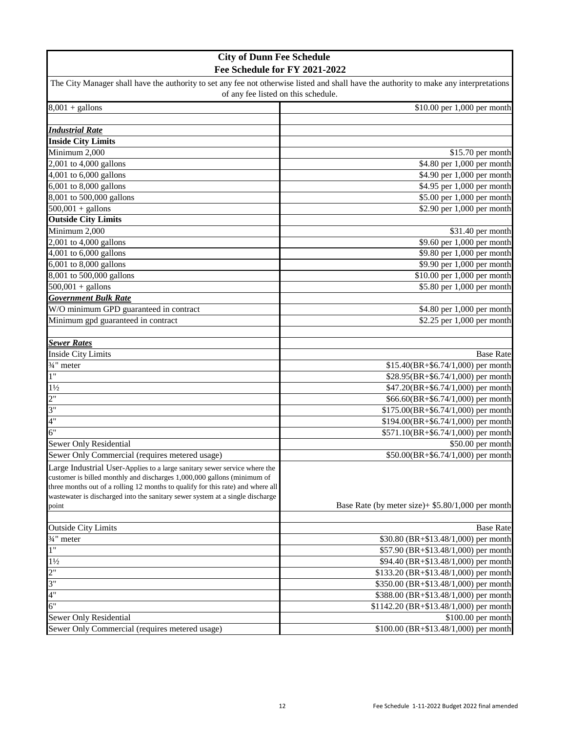| <b>City of Dunn Fee Schedule</b>                                                                                                       |                                                     |
|----------------------------------------------------------------------------------------------------------------------------------------|-----------------------------------------------------|
| Fee Schedule for FY 2021-2022                                                                                                          |                                                     |
| The City Manager shall have the authority to set any fee not otherwise listed and shall have the authority to make any interpretations |                                                     |
| of any fee listed on this schedule.                                                                                                    |                                                     |
| $8,001 +$ gallons                                                                                                                      | \$10.00 per 1,000 per month                         |
|                                                                                                                                        |                                                     |
| <b>Industrial Rate</b>                                                                                                                 |                                                     |
| <b>Inside City Limits</b>                                                                                                              |                                                     |
| Minimum 2,000                                                                                                                          | \$15.70 per month                                   |
| 2,001 to 4,000 gallons                                                                                                                 | \$4.80 per 1,000 per month                          |
| 4,001 to 6,000 gallons                                                                                                                 | \$4.90 per 1,000 per month                          |
| 6,001 to 8,000 gallons                                                                                                                 | \$4.95 per 1,000 per month                          |
| 8,001 to 500,000 gallons                                                                                                               | \$5.00 per 1,000 per month                          |
| $500,001 +$ gallons                                                                                                                    | \$2.90 per 1,000 per month                          |
| <b>Outside City Limits</b>                                                                                                             |                                                     |
| Minimum 2,000                                                                                                                          | \$31.40 per month                                   |
| 2,001 to 4,000 gallons                                                                                                                 | \$9.60 per 1,000 per month                          |
| 4,001 to 6,000 gallons                                                                                                                 | \$9.80 per 1,000 per month                          |
| 6,001 to 8,000 gallons                                                                                                                 | \$9.90 per 1,000 per month                          |
| 8,001 to 500,000 gallons                                                                                                               | \$10.00 per 1,000 per month                         |
| $500,001 + \text{gallons}$                                                                                                             | \$5.80 per 1,000 per month                          |
| <b>Government Bulk Rate</b>                                                                                                            |                                                     |
| W/O minimum GPD guaranteed in contract                                                                                                 | \$4.80 per 1,000 per month                          |
| Minimum gpd guaranteed in contract                                                                                                     | \$2.25 per 1,000 per month                          |
|                                                                                                                                        |                                                     |
| <b>Sewer Rates</b>                                                                                                                     |                                                     |
| <b>Inside City Limits</b>                                                                                                              | <b>Base Rate</b>                                    |
| 3/ <sub>4</sub> " meter                                                                                                                | \$15.40(BR+\$6.74/1,000) per month                  |
| $\overline{1}$ "                                                                                                                       | \$28.95(BR+\$6.74/1,000) per month                  |
| $1\frac{1}{2}$                                                                                                                         | \$47.20(BR+\$6.74/1,000) per month                  |
| 2"                                                                                                                                     | \$66.60(BR+\$6.74/1,000) per month                  |
| 3"                                                                                                                                     | \$175.00(BR+\$6.74/1,000) per month                 |
| 4"                                                                                                                                     | $$194.00(BR+$6.74/1,000)$ per month                 |
| 6"                                                                                                                                     | \$571.10(BR+\$6.74/1,000) per month                 |
| <b>Sewer Only Residential</b>                                                                                                          | \$50.00 per month                                   |
| Sewer Only Commercial (requires metered usage)                                                                                         | \$50.00(BR+\$6.74/1,000) per month                  |
| Large Industrial User-Applies to a large sanitary sewer service where the                                                              |                                                     |
| customer is billed monthly and discharges 1,000,000 gallons (minimum of                                                                |                                                     |
| three months out of a rolling 12 months to qualify for this rate) and where all                                                        |                                                     |
| wastewater is discharged into the sanitary sewer system at a single discharge                                                          |                                                     |
| point                                                                                                                                  | Base Rate (by meter size) + $$5.80/1,000$ per month |
| <b>Outside City Limits</b>                                                                                                             | <b>Base Rate</b>                                    |
| 3/ <sub>4</sub> " meter                                                                                                                | \$30.80 (BR+\$13.48/1,000) per month                |
| 1"                                                                                                                                     | \$57.90 (BR+\$13.48/1,000) per month                |
| $1\frac{1}{2}$                                                                                                                         | \$94.40 (BR+\$13.48/1,000) per month                |
| 2"                                                                                                                                     | \$133.20 (BR+\$13.48/1,000) per month               |
| 3"                                                                                                                                     | \$350.00 (BR+\$13.48/1,000) per month               |
| 4"                                                                                                                                     | \$388.00 (BR+\$13.48/1,000) per month               |
| 6"                                                                                                                                     | \$1142.20 (BR+\$13.48/1,000) per month              |
| Sewer Only Residential                                                                                                                 | \$100.00 per month                                  |
| Sewer Only Commercial (requires metered usage)                                                                                         | \$100.00 (BR+\$13.48/1,000) per month               |
|                                                                                                                                        |                                                     |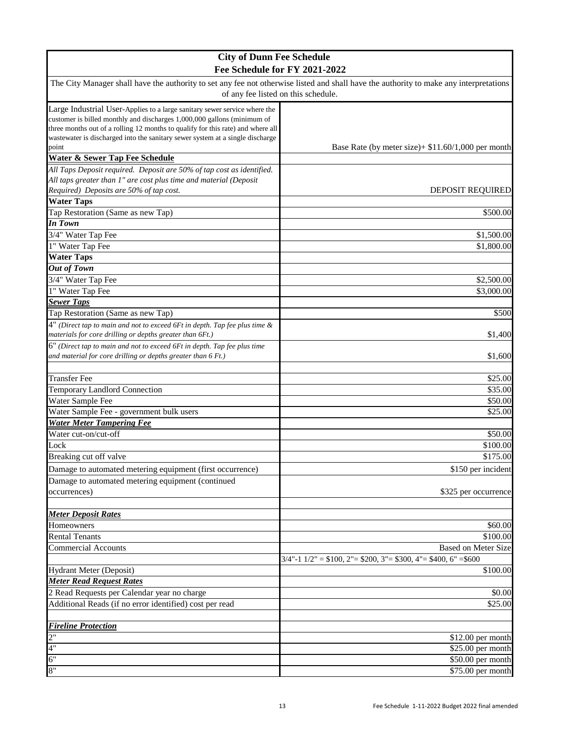| <b>City of Dunn Fee Schedule</b>                                                                                                                                              |                                                                        |
|-------------------------------------------------------------------------------------------------------------------------------------------------------------------------------|------------------------------------------------------------------------|
| Fee Schedule for FY 2021-2022                                                                                                                                                 |                                                                        |
| The City Manager shall have the authority to set any fee not otherwise listed and shall have the authority to make any interpretations<br>of any fee listed on this schedule. |                                                                        |
| Large Industrial User-Applies to a large sanitary sewer service where the                                                                                                     |                                                                        |
| customer is billed monthly and discharges 1,000,000 gallons (minimum of                                                                                                       |                                                                        |
| three months out of a rolling 12 months to qualify for this rate) and where all                                                                                               |                                                                        |
| wastewater is discharged into the sanitary sewer system at a single discharge                                                                                                 |                                                                        |
| point                                                                                                                                                                         | Base Rate (by meter size) + $$11.60/1,000$ per month                   |
| <b>Water &amp; Sewer Tap Fee Schedule</b>                                                                                                                                     |                                                                        |
| All Taps Deposit required. Deposit are 50% of tap cost as identified.                                                                                                         |                                                                        |
| All taps greater than 1" are cost plus time and material (Deposit                                                                                                             |                                                                        |
| Required) Deposits are 50% of tap cost.                                                                                                                                       | DEPOSIT REQUIRED                                                       |
| <b>Water Taps</b>                                                                                                                                                             |                                                                        |
| Tap Restoration (Same as new Tap)<br><b>In Town</b>                                                                                                                           | \$500.00                                                               |
|                                                                                                                                                                               |                                                                        |
| 3/4" Water Tap Fee                                                                                                                                                            | \$1,500.00                                                             |
| 1" Water Tap Fee                                                                                                                                                              | \$1,800.00                                                             |
| <b>Water Taps</b>                                                                                                                                                             |                                                                        |
| <b>Out of Town</b>                                                                                                                                                            |                                                                        |
| 3/4" Water Tap Fee                                                                                                                                                            | \$2,500.00                                                             |
| 1" Water Tap Fee                                                                                                                                                              | \$3,000.00                                                             |
| <b>Sewer Taps</b>                                                                                                                                                             |                                                                        |
| Tap Restoration (Same as new Tap)                                                                                                                                             | \$500                                                                  |
| $4"$ (Direct tap to main and not to exceed 6Ft in depth. Tap fee plus time $\&$                                                                                               |                                                                        |
| materials for core drilling or depths greater than 6Ft.)                                                                                                                      | \$1,400                                                                |
| 6" (Direct tap to main and not to exceed 6Ft in depth. Tap fee plus time                                                                                                      |                                                                        |
| and material for core drilling or depths greater than 6 Ft.)                                                                                                                  | \$1,600                                                                |
|                                                                                                                                                                               |                                                                        |
| <b>Transfer Fee</b>                                                                                                                                                           | \$25.00                                                                |
| <b>Temporary Landlord Connection</b>                                                                                                                                          | \$35.00                                                                |
| Water Sample Fee                                                                                                                                                              | \$50.00                                                                |
| Water Sample Fee - government bulk users                                                                                                                                      | \$25.00                                                                |
| <b>Water Meter Tampering Fee</b><br>Water cut-on/cut-off                                                                                                                      |                                                                        |
|                                                                                                                                                                               | \$50.00                                                                |
| Lock                                                                                                                                                                          | \$100.00                                                               |
| Breaking cut off valve                                                                                                                                                        | \$175.00                                                               |
| Damage to automated metering equipment (first occurrence)                                                                                                                     | \$150 per incident                                                     |
| Damage to automated metering equipment (continued                                                                                                                             |                                                                        |
| occurrences)                                                                                                                                                                  | \$325 per occurrence                                                   |
|                                                                                                                                                                               |                                                                        |
| <b>Meter Deposit Rates</b>                                                                                                                                                    |                                                                        |
| Homeowners                                                                                                                                                                    | \$60.00                                                                |
| <b>Rental Tenants</b>                                                                                                                                                         | \$100.00                                                               |
| Commercial Accounts                                                                                                                                                           | <b>Based on Meter Size</b>                                             |
|                                                                                                                                                                               | $3/4$ "-1 $1/2$ " = \$100, 2"= \$200, 3"= \$300, 4"= \$400, 6" = \$600 |
| Hydrant Meter (Deposit)                                                                                                                                                       | \$100.00                                                               |
| <b>Meter Read Request Rates</b>                                                                                                                                               |                                                                        |
| 2 Read Requests per Calendar year no charge                                                                                                                                   | \$0.00                                                                 |
| Additional Reads (if no error identified) cost per read                                                                                                                       | \$25.00                                                                |
|                                                                                                                                                                               |                                                                        |
| <b>Fireline Protection</b>                                                                                                                                                    |                                                                        |
| 2"                                                                                                                                                                            | $$12.00$ per month                                                     |
| 4"                                                                                                                                                                            | \$25.00 per month                                                      |
| 6"                                                                                                                                                                            | \$50.00 per month                                                      |
| 8"                                                                                                                                                                            | \$75.00 per month                                                      |